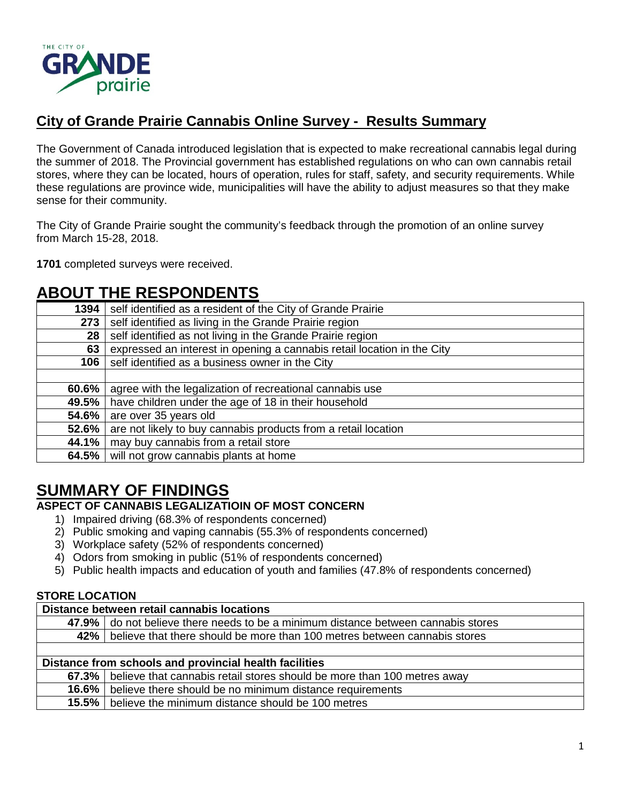

# **City of Grande Prairie Cannabis Online Survey - Results Summary**

The Government of Canada introduced legislation that is expected to make recreational cannabis legal during the summer of 2018. The Provincial government has established regulations on who can own cannabis retail stores, where they can be located, hours of operation, rules for staff, safety, and security requirements. While these regulations are province wide, municipalities will have the ability to adjust measures so that they make sense for their community.

The City of Grande Prairie sought the community's feedback through the promotion of an online survey from March 15-28, 2018.

**1701** completed surveys were received.

# **ABOUT THE RESPONDENTS**

| 1394  | self identified as a resident of the City of Grande Prairie             |
|-------|-------------------------------------------------------------------------|
| 273   | self identified as living in the Grande Prairie region                  |
| 28    | self identified as not living in the Grande Prairie region              |
| 63    | expressed an interest in opening a cannabis retail location in the City |
| 106   | self identified as a business owner in the City                         |
|       |                                                                         |
| 60.6% | agree with the legalization of recreational cannabis use                |
| 49.5% | have children under the age of 18 in their household                    |
| 54.6% | are over 35 years old                                                   |
| 52.6% | are not likely to buy cannabis products from a retail location          |
| 44.1% | may buy cannabis from a retail store                                    |
| 64.5% | will not grow cannabis plants at home                                   |

# **SUMMARY OF FINDINGS**

# **ASPECT OF CANNABIS LEGALIZATIOIN OF MOST CONCERN**

- 1) Impaired driving (68.3% of respondents concerned)
- 2) Public smoking and vaping cannabis (55.3% of respondents concerned)
- 3) Workplace safety (52% of respondents concerned)
- 4) Odors from smoking in public (51% of respondents concerned)
- 5) Public health impacts and education of youth and families (47.8% of respondents concerned)

## **STORE LOCATION**

## **Distance between retail cannabis locations**

|                                                        | 47.9% do not believe there needs to be a minimum distance between cannabis stores |
|--------------------------------------------------------|-----------------------------------------------------------------------------------|
|                                                        | 42% believe that there should be more than 100 metres between cannabis stores     |
|                                                        |                                                                                   |
| Distance from schools and provincial health facilities |                                                                                   |
|                                                        | 67.3% believe that cannabis retail stores should be more than 100 metres away     |
| 16.6% l                                                | believe there should be no minimum distance requirements                          |
| $15.5\%$                                               | believe the minimum distance should be 100 metres                                 |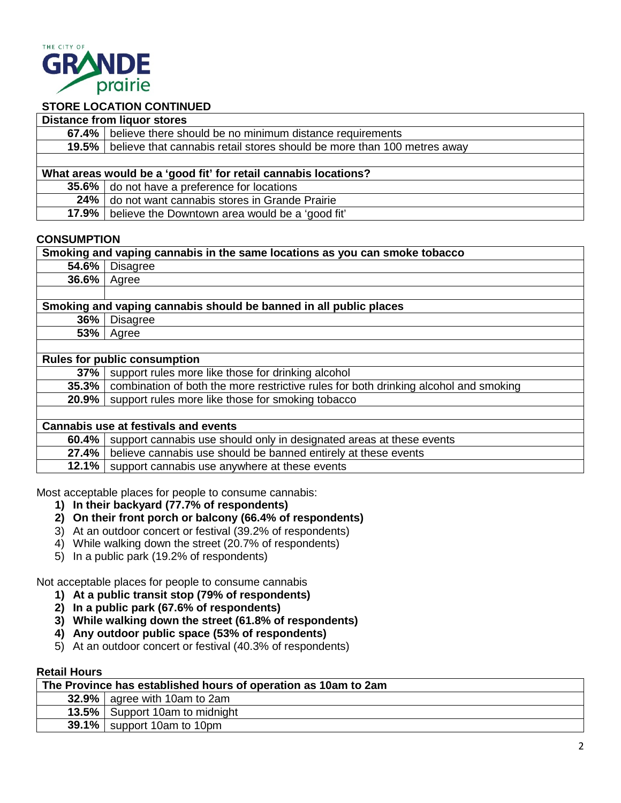

# **STORE LOCATION CONTINUED**

| <b>Distance from liquor stores</b>                              |                                                                               |
|-----------------------------------------------------------------|-------------------------------------------------------------------------------|
|                                                                 | 67.4%   believe there should be no minimum distance requirements              |
|                                                                 | 19.5% believe that cannabis retail stores should be more than 100 metres away |
|                                                                 |                                                                               |
| What areas would be a 'good fit' for retail cannabis locations? |                                                                               |
|                                                                 | 35.6% do not have a preference for locations                                  |
|                                                                 | 24% do not want cannabis stores in Grande Prairie                             |
| $17.9\%$                                                        | believe the Downtown area would be a 'good fit'                               |

#### **CONSUMPTION**

| Smoking and vaping cannabis in the same locations as you can smoke tobacco |                                                                                      |
|----------------------------------------------------------------------------|--------------------------------------------------------------------------------------|
| 54.6%                                                                      | Disagree                                                                             |
| 36.6%                                                                      | Agree                                                                                |
|                                                                            |                                                                                      |
| Smoking and vaping cannabis should be banned in all public places          |                                                                                      |
| 36%                                                                        | <b>Disagree</b>                                                                      |
| 53%                                                                        | Agree                                                                                |
|                                                                            |                                                                                      |
| <b>Rules for public consumption</b>                                        |                                                                                      |
| 37%                                                                        | support rules more like those for drinking alcohol                                   |
| 35.3%                                                                      | combination of both the more restrictive rules for both drinking alcohol and smoking |
| 20.9%                                                                      | support rules more like those for smoking tobacco                                    |
|                                                                            |                                                                                      |
| <b>Cannabis use at festivals and events</b>                                |                                                                                      |
| 60.4%                                                                      | support cannabis use should only in designated areas at these events                 |
| 27.4%                                                                      | believe cannabis use should be banned entirely at these events                       |
| 12.1%                                                                      | support cannabis use anywhere at these events                                        |
|                                                                            |                                                                                      |

Most acceptable places for people to consume cannabis:

- **1) In their backyard (77.7% of respondents)**
- **2) On their front porch or balcony (66.4% of respondents)**
- 3) At an outdoor concert or festival (39.2% of respondents)
- 4) While walking down the street (20.7% of respondents)
- 5) In a public park (19.2% of respondents)

Not acceptable places for people to consume cannabis

- **1) At a public transit stop (79% of respondents)**
- **2) In a public park (67.6% of respondents)**
- **3) While walking down the street (61.8% of respondents)**
- **4) Any outdoor public space (53% of respondents)**
- 5) At an outdoor concert or festival (40.3% of respondents)

#### **Retail Hours**

| The Province has established hours of operation as 10am to 2am |                                  |
|----------------------------------------------------------------|----------------------------------|
|                                                                | 32.9% $ $ agree with 10am to 2am |
|                                                                | 13.5%   Support 10am to midnight |
|                                                                | 39.1% support 10am to 10pm       |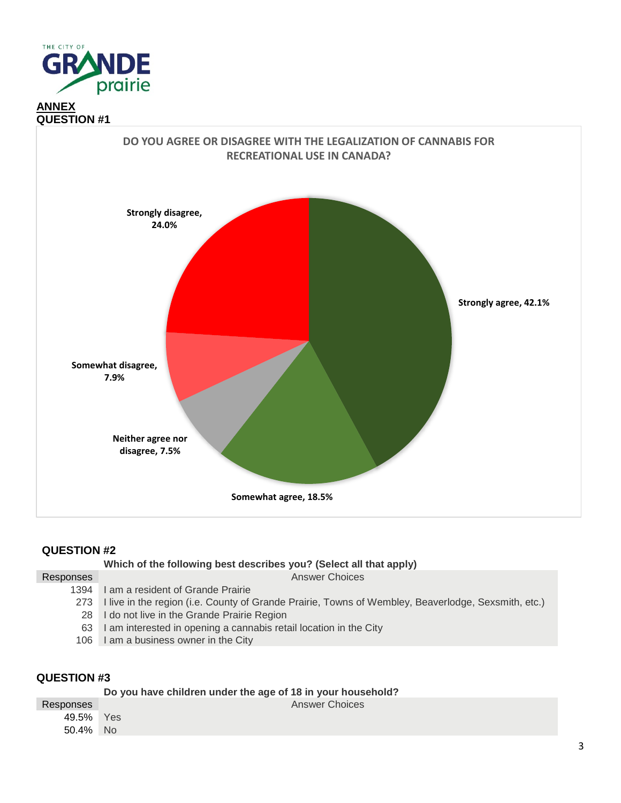



|           | Which of the following best describes you? (Select all that apply)                                      |
|-----------|---------------------------------------------------------------------------------------------------------|
| Responses | Answer Choices                                                                                          |
|           | 1394 I am a resident of Grande Prairie                                                                  |
|           | 273 I live in the region (i.e. County of Grande Prairie, Towns of Wembley, Beaverlodge, Sexsmith, etc.) |
|           | 28 I do not live in the Grande Prairie Region                                                           |
| 63 I      | I am interested in opening a cannabis retail location in the City                                       |
|           | 106 I am a business owner in the City                                                                   |
|           |                                                                                                         |

|           | Do you have children under the age of 18 in your household? |                       |
|-----------|-------------------------------------------------------------|-----------------------|
| Responses |                                                             | <b>Answer Choices</b> |
| 49.5% Yes |                                                             |                       |
| 50.4% No  |                                                             |                       |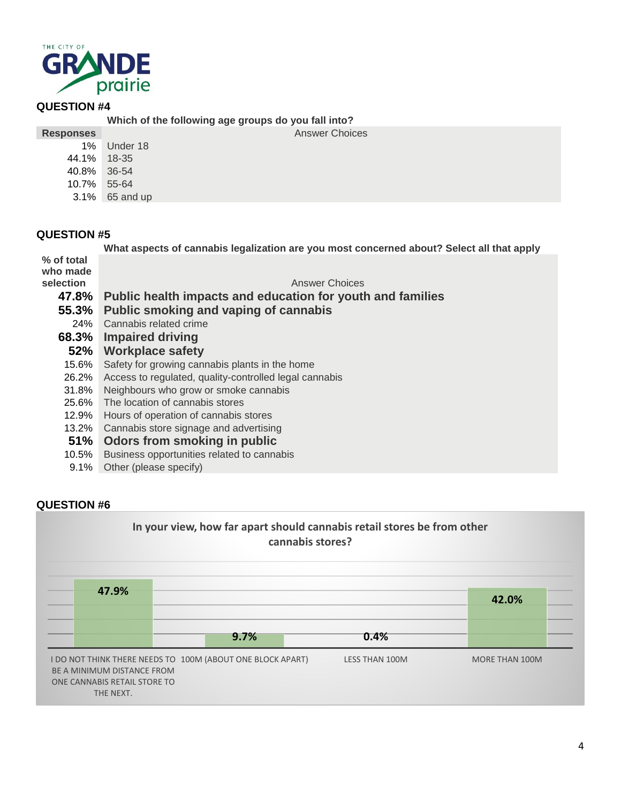

**Which of the following age groups do you fall into?**

**Responses** Answer Choices

| 1%    | Under 18  |
|-------|-----------|
| 44.1% | 18-35     |
| 40.8% | 36-54     |
| 10.7% | 55-64     |
| 3.1%  | 65 and up |

# **QUESTION #5**

|                                     | What aspects of cannabis legalization are you most concerned about? Select all that apply |
|-------------------------------------|-------------------------------------------------------------------------------------------|
| % of total<br>who made<br>selection |                                                                                           |
|                                     | <b>Answer Choices</b>                                                                     |
| 47.8%                               | Public health impacts and education for youth and families                                |
| 55.3%                               | Public smoking and vaping of cannabis                                                     |
| 24%                                 | Cannabis related crime                                                                    |
| 68.3%                               | <b>Impaired driving</b>                                                                   |
| 52%                                 | <b>Workplace safety</b>                                                                   |
| 15.6%                               | Safety for growing cannabis plants in the home                                            |
| 26.2%                               | Access to regulated, quality-controlled legal cannabis                                    |
| 31.8%                               | Neighbours who grow or smoke cannabis                                                     |
| 25.6%                               | The location of cannabis stores                                                           |
| 12.9%                               | Hours of operation of cannabis stores                                                     |
| 13.2%                               | Cannabis store signage and advertising                                                    |
| 51%                                 | Odors from smoking in public                                                              |
| 10.5%                               | Business opportunities related to cannabis                                                |
|                                     |                                                                                           |

9.1% Other (please specify)

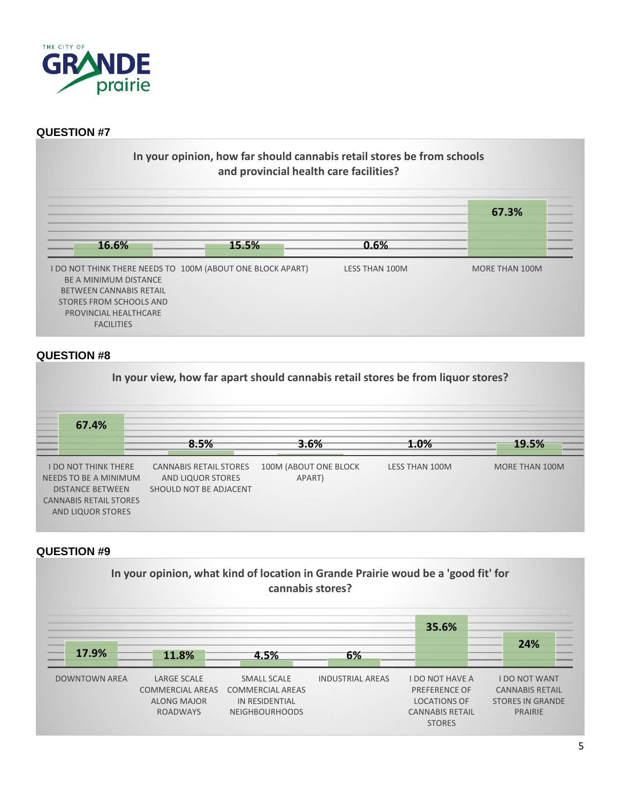

# **In your opinion, how far should cannabis retail stores be from schools and provincial health care facilities?**



#### **QUESTION #8**



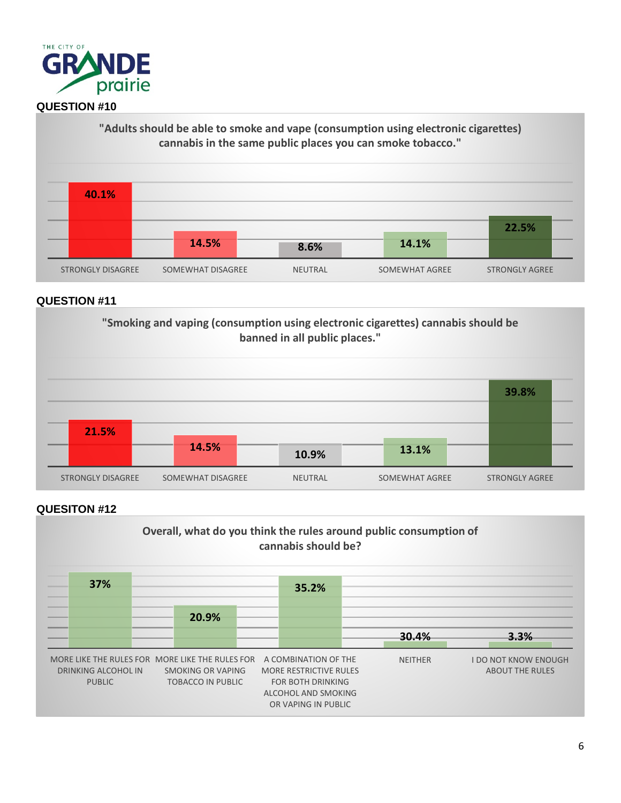



#### **QUESTION #11**



#### **QUESITON #12**

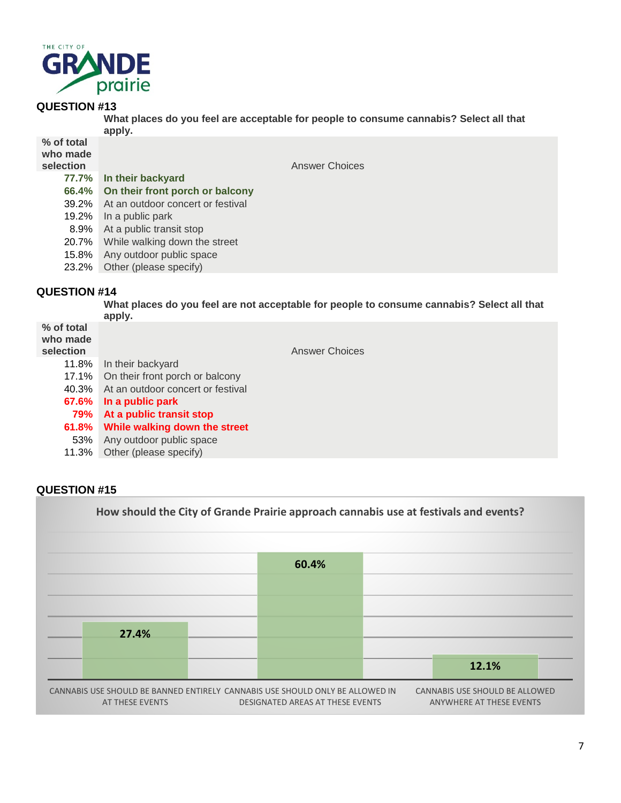

**What places do you feel are acceptable for people to consume cannabis? Select all that apply.**

| % of total<br>who made<br>selection | Answer Choices                    |
|-------------------------------------|-----------------------------------|
| 77.7%                               | In their backyard                 |
| 66.4%                               | On their front porch or balcony   |
| 39.2%                               | At an outdoor concert or festival |
| 19.2%                               | In a public park                  |
| 8.9%                                | At a public transit stop          |
| 20.7%                               | While walking down the street     |
| 15.8%                               | Any outdoor public space          |
| 23.2%                               | Other (please specify)            |

#### **QUESTION #14**

**What places do you feel are not acceptable for people to consume cannabis? Select all that apply. % of total who made Answer Choices** 11.8% In their backyard 17.1% On their front porch or balcony 40.3% At an outdoor concert or festival **67.6% In a public park 79% At a public transit stop 61.8% While walking down the street** 53% Any outdoor public space 11.3% Other (please specify)